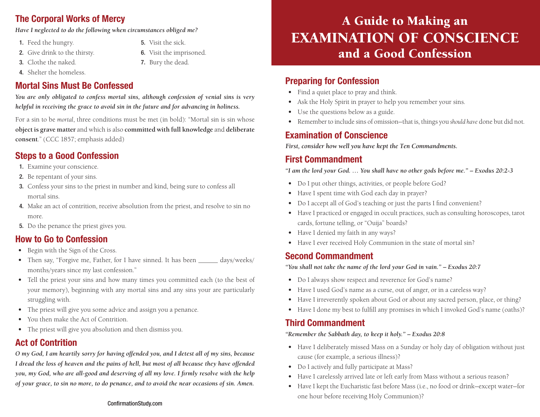## The Corporal Works of Mercy

*Have I neglected to do the following when circumstances obliged me?* 

- 1. Feed the hungry.
- 2. Give drink to the thirsty.
- 3. Clothe the naked.
- 4. Shelter the homeless.

## Mortal Sins Must Be Confessed

*You are only obligated to confess mortal sins, although confession of venial sins is very helpful in receiving the grace to avoid sin in the future and for advancing in holiness.* 

5. Visit the sick.

6. Visit the imprisoned. 7. Bury the dead.

For a sin to be *mortal*, three conditions must be met (in bold): "Mortal sin is sin whose **object is grave matter** and which is also **committed with full knowledge** and **deliberate consent**." (CCC 1857; emphasis added)

## Steps to a Good Confession

- 1. Examine your conscience.
- 2. Be repentant of your sins.
- 3. Confess your sins to the priest in number and kind, being sure to confess all mortal sins.
- 4. Make an act of contrition, receive absolution from the priest, and resolve to sin no more.
- 5. Do the penance the priest gives you.

#### How to Go to Confession

- Begin with the Sign of the Cross.
- Then say, "Forgive me, Father, for I have sinned. It has been \_\_\_\_\_\_ days/weeks/ months/years since my last confession."
- Tell the priest your sins and how many times you committed each (to the best of your memory), beginning with any mortal sins and any sins your are particularly struggling with.
- The priest will give you some advice and assign you a penance.
- You then make the Act of Contrition.
- The priest will give you absolution and then dismiss you.

#### Act of Contrition

*O my God, I am heartily sorry for having offended you, and I detest all of my sins, because I dread the loss of heaven and the pains of hell, but most of all because they have offended you, my God, who are all-good and deserving of all my love. I firmly resolve with the help of your grace, to sin no more, to do penance, and to avoid the near occasions of sin. Amen.*

#### ConfirmationStudy.com

# A Guide to Making an EXAMINATION OF CONSCIENCE and a Good Confession

#### Preparing for Confession

- Find a quiet place to pray and think.
- Ask the Holy Spirit in prayer to help you remember your sins.
- Use the questions below as a guide.
- Remember to include sins of omission—that is, things you *should have* done but did not.

#### Examination of Conscience

*First, consider how well you have kept the Ten Commandments.*

#### First Commandment

*"I am the lord your God. … You shall have no other gods before me." – Exodus 20:2-3*

- Do I put other things, activities, or people before God?
- Have I spent time with God each day in prayer?
- Do I accept all of God's teaching or just the parts I find convenient?
- Have I practiced or engaged in occult practices, such as consulting horoscopes, tarot cards, fortune telling, or "Ouija" boards?
- Have I denied my faith in any ways?
- Have I ever received Holy Communion in the state of mortal sin?

#### Second Commandment

*"You shall not take the name of the lord your God in vain." – Exodus 20:7*

- Do I always show respect and reverence for God's name?
- Have I used God's name as a curse, out of anger, or in a careless way?
- Have I irreverently spoken about God or about any sacred person, place, or thing?
- Have I done my best to fulfill any promises in which I invoked God's name (oaths)?

#### Third Commandment

*"Remember the Sabbath day, to keep it holy." – Exodus 20:8*

- Have I deliberately missed Mass on a Sunday or holy day of obligation without just cause (for example, a serious illness)?
- Do I actively and fully participate at Mass?
- Have I carelessly arrived late or left early from Mass without a serious reason?
- Have I kept the Eucharistic fast before Mass (i.e., no food or drink—except water—for one hour before receiving Holy Communion)?